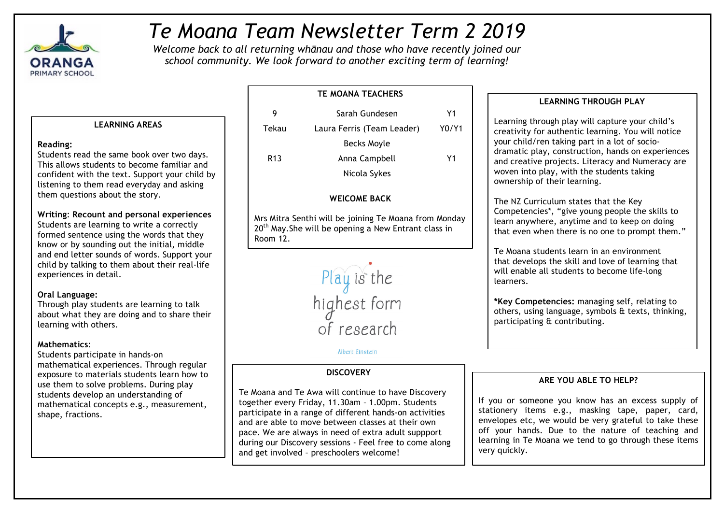

# *Te Moana Team Newsletter Term 2 2019*

*Welcome back to all returning whānau and those who have recently joined our school community. We look forward to another exciting term of learning!*

# **LEARNING AREAS**

## **Reading:**

Students read the same book over two days. This allows students to become familiar and confident with the text. Support your child by listening to them read everyday and asking them questions about the story.

**Writing**: **Recount and personal experiences** Students are learning to write a correctly formed sentence using the words that they know or by sounding out the initial, middle and end letter sounds of words. Support your child by talking to them about their real-life experiences in detail.

# **Oral Language:**

Through play students are learning to talk about what they are doing and to share their learning with others.

# **Mathematics**:

Students participate in hands-on mathematical experiences. Through regular exposure to materials students learn how to use them to solve problems. During play students develop an understanding of mathematical concepts e.g., measurement, shape, fractions.

| 9               | Sarah Gundesen             | Υ1    |
|-----------------|----------------------------|-------|
| Tekau           | Laura Ferris (Team Leader) | Y0/Y1 |
|                 | Becks Moyle                |       |
| R <sub>13</sub> | Anna Campbell              | Υ1    |
|                 | Nicola Sykes               |       |

**TE MOANA TEACHERS**

# **WElCOME BACK**

Mrs Mitra Senthi will be joining Te Moana from Monday  $20<sup>th</sup>$  May. She will be opening a New Entrant class in Room 12.



# Albert Einstein

# **DISCOVERY**

Te Moana and Te Awa will continue to have Discovery together every Friday, 11.30am – 1.00pm. Students participate in a range of different hands-on activities and are able to move between classes at their own pace. We are always in need of extra adult suppport during our Discovery sessions - Feel free to come along and get involved – preschoolers welcome!

# **LEARNING THROUGH PLAY**

Learning through play will capture your child's creativity for authentic learning. You will notice your child/ren taking part in a lot of sociodramatic play, construction, hands on experiences and creative projects. Literacy and Numeracy are woven into play, with the students taking ownership of their learning.

The NZ Curriculum states that the Key Competencies\*, "give young people the skills to learn anywhere, anytime and to keep on doing that even when there is no one to prompt them."

Te Moana students learn in an environment that develops the skill and love of learning that will enable all students to become life-long learners.

**\*Key Competencies:** managing self, relating to others, using language, symbols & texts, thinking, participating & contributing.

# **ARE YOU ABLE TO HELP?**

If you or someone you know has an excess supply of stationery items e.g., masking tape, paper, card, envelopes etc, we would be very grateful to take these off your hands. Due to the nature of teaching and learning in Te Moana we tend to go through these items very quickly.